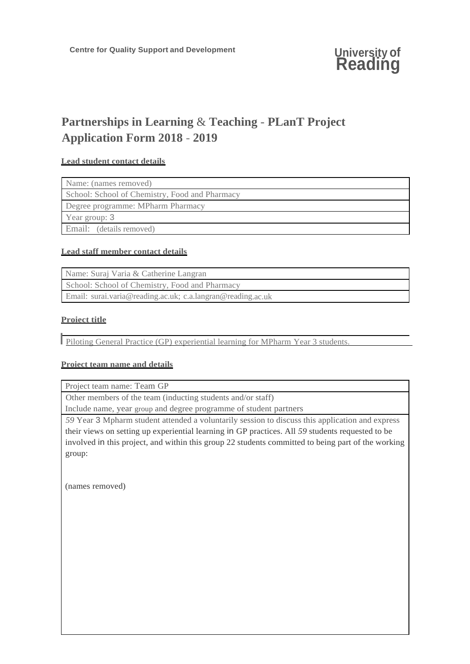# **Partnerships in Learning** & **Teaching** - **PLanT Project Application Form 2018** - **2019**

## **Lead student contact details**

| Name: (names removed)                          |
|------------------------------------------------|
| School: School of Chemistry, Food and Pharmacy |
| Degree programme: MPharm Pharmacy              |
| Year group: 3                                  |
| Email: (details removed)                       |

## **Lead staff member contact details**

| Name: Suraj Varia & Catherine Langran                       |
|-------------------------------------------------------------|
| School: School of Chemistry, Food and Pharmacy              |
| Email: surai.varia@reading.ac.uk; c.a.langran@reading.ac.uk |

## **Proiect title**

I Piloting General Practice (GP) experiential learning for MPharm Year 3 students.

## **Proiect team name and details**

Project team name: Team GP

Other members of the team (inducting students and/or staff)

Include name, year group and degree programme of student partners

*59* Year 3 Mpharm student attended a voluntarily session to discuss this application and express their views on setting up experiential learning in GP practices. All *59* students requested to be involved in this project, and within this group 22 students committed to being part of the working group:

(names removed)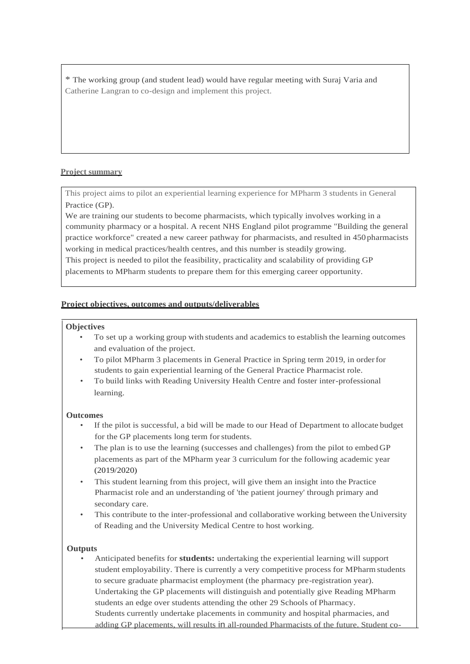\* The working group (and student lead) would have regular meeting with Suraj Varia and Catherine Langran to co-design and implement this project.

## **Project summary**

This project aims to pilot an experiential learning experience for MPharm 3 students in General Practice (GP).

We are training our students to become pharmacists, which typically involves working in a community pharmacy or a hospital. A recent NHS England pilot programme "Building the general practice workforce" created a new career pathway for pharmacists, and resulted in 450 pharmacists working in medical practices/health centres, and this number is steadily growing.

This project is needed to pilot the feasibility, practicality and scalability of providing GP placements to MPharm students to prepare them for this emerging career opportunity.

#### **Project objectives, outcomes and outputs/deliverables**

#### **Objectives**

- To set up a working group with students and academics to establish the learning outcomes and evaluation of the project.
- To pilot MPharm 3 placements in General Practice in Spring term 2019, in orderfor students to gain experiential learning of the General Practice Pharmacist role.
- To build links with Reading University Health Centre and foster inter-professional learning.

#### **Outcomes**

- If the pilot is successful, a bid will be made to our Head of Department to allocate budget for the GP placements long term forstudents.
- The plan is to use the learning (successes and challenges) from the pilot to embed GP placements as part of the MPharm year 3 curriculum for the following academic year (2019/2020)
- This student learning from this project, will give them an insight into the Practice Pharmacist role and an understanding of 'the patient journey' through primary and secondary care.
- This contribute to the inter-professional and collaborative working between the University of Reading and the University Medical Centre to host working.

#### **Outputs**

• Anticipated benefits for **students:** undertaking the experiential learning will support student employability. There is currently a very competitive process for MPharm students to secure graduate pharmacist employment (the pharmacy pre-registration year). Undertaking the GP placements will distinguish and potentially give Reading MPharm students an edge over students attending the other 29 Schools of Pharmacy. Students currently undertake placements in community and hospital pharmacies, and adding GP placements, will results in all-rounded Pharmacists of the future. Student co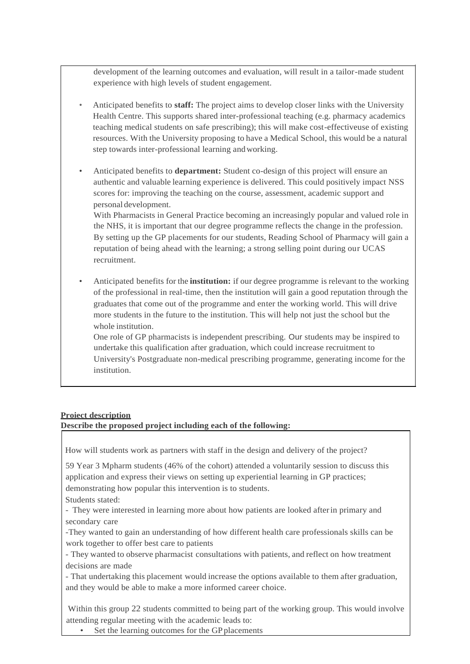development of the learning outcomes and evaluation, will result in a tailor-made student experience with high levels of student engagement.

- Anticipated benefits to **staff:** The project aims to develop closer links with the University Health Centre. This supports shared inter-professional teaching (e.g. pharmacy academics teaching medical students on safe prescribing); this will make cost-effectiveuse of existing resources. With the University proposing to have a Medical School, this would be a natural step towards inter-professional learning andworking.
- Anticipated benefits to **department:** Student co-design of this project will ensure an authentic and valuable learning experience is delivered. This could positively impact NSS scores for: improving the teaching on the course, assessment, academic support and personal development.

With Pharmacists in General Practice becoming an increasingly popular and valued role in the NHS, it is important that our degree programme reflects the change in the profession. By setting up the GP placements for our students, Reading School of Pharmacy will gain a reputation of being ahead with the learning; a strong selling point during our UCAS recruitment.

• Anticipated benefits for the **institution:** if our degree programme is relevant to the working of the professional in real-time, then the institution will gain a good reputation through the graduates that come out of the programme and enter the working world. This will drive more students in the future to the institution. This will help not just the school but the whole institution.

One role of GP pharmacists is independent prescribing. Our students may be inspired to undertake this qualification after graduation, which could increase recruitment to University's Postgraduate non-medical prescribing programme, generating income for the institution.

## **Proiect description**

**Describe the proposed project including each of the following:**

How will students work as partners with staff in the design and delivery of the project?

59 Year 3 Mpharm students (46% of the cohort) attended a voluntarily session to discuss this application and express their views on setting up experiential learning in GP practices; demonstrating how popular this intervention is to students.

Students stated:

- They were interested in learning more about how patients are looked afterin primary and secondary care

-They wanted to gain an understanding of how different health care professionals skills can be work together to offer best care to patients

- They wanted to observe pharmacist consultations with patients, and reflect on how treatment decisions are made

- That undertaking this placement would increase the options available to them after graduation, and they would be able to make a more informed career choice.

Within this group 22 students committed to being part of the working group. This would involve attending regular meeting with the academic leads to:

• Set the learning outcomes for the GP placements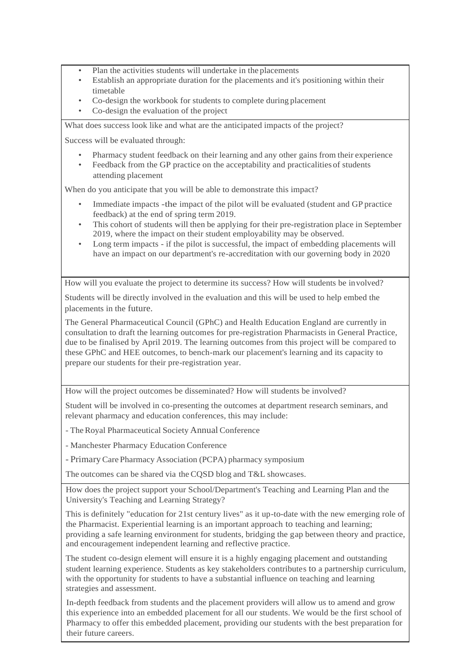- Plan the activities students will undertake in the placements
- Establish an appropriate duration for the placements and it's positioning within their timetable
- Co-design the workbook for students to complete during placement
- Co-design the evaluation of the project

What does success look like and what are the anticipated impacts of the project?

Success will be evaluated through:

- Pharmacy student feedback on their learning and any other gains from their experience
- Feedback from the GP practice on the acceptability and practicalities of students attending placement

When do you anticipate that you will be able to demonstrate this impact?

- Immediate impacts -the impact of the pilot will be evaluated (student and GP practice feedback) at the end of spring term 2019.
- This cohort of students will then be applying for their pre-registration place in September 2019, where the impact on their student employability may be observed.
- Long term impacts if the pilot is successful, the impact of embedding placements will have an impact on our department's re-accreditation with our governing body in 2020

How will you evaluate the project to determine its success? How will students be involved?

Students will be directly involved in the evaluation and this will be used to help embed the placements in the future.

The General Pharmaceutical Council (GPhC) and Health Education England are currently in consultation to draft the learning outcomes for pre-registration Pharmacists in General Practice, due to be finalised by April 2019. The learning outcomes from this project will be compared to these GPhC and HEE outcomes, to bench-mark our placement's learning and its capacity to prepare our students for their pre-registration year.

How will the project outcomes be disseminated? How will students be involved?

Student will be involved in co-presenting the outcomes at department research seminars, and relevant pharmacy and education conferences, this may include:

- TheRoyal Pharmaceutical Society Annual Conference

- Manchester Pharmacy Education Conference

- Primary Care Pharmacy Association (PCPA) pharmacy symposium

The outcomes can be shared via the CQSD blog and T&L showcases.

How does the project support your School/Department's Teaching and Learning Plan and the University's Teaching and Learning Strategy?

This is definitely "education for 21st century lives" as it up-to-date with the new emerging role of the Pharmacist. Experiential learning is an important approach to teaching and learning; providing a safe learning environment for students, bridging the gap between theory and practice, and encouragement independent learning and reflective practice.

The student co-design element will ensure it is a highly engaging placement and outstanding student learning experience. Students as key stakeholders contributes to a partnership curriculum, with the opportunity for students to have a substantial influence on teaching and learning strategies and assessment.

In-depth feedback from students and the placement providers will allow us to amend and grow this experience into an embedded placement for all our students. We would be the first school of Pharmacy to offer this embedded placement, providing our students with the best preparation for their future careers.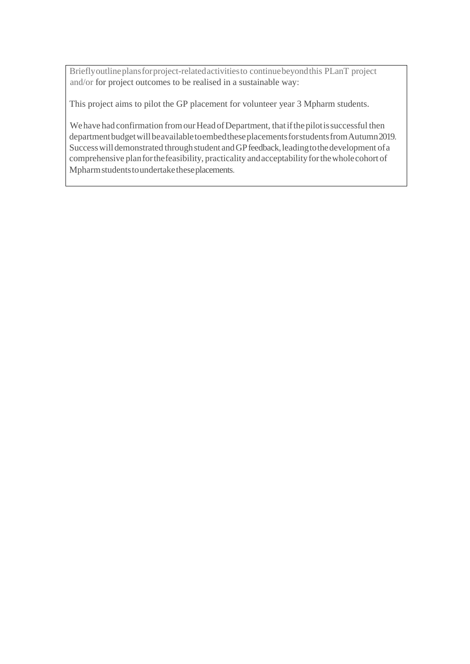Brieflyoutlineplansforproject-relatedactivitiesto continuebeyondthis PLanT project and/or for project outcomes to be realised in a sustainable way:

This project aims to pilot the GP placement for volunteer year 3 Mpharm students.

We have had confirmation from our Head of Department, that if the pilot is successful then department budget will be available to embed these placements for students from Autumn 2019. Success will demonstrated through student and GP feedback, leading to the development of a comprehensive planforthefeasibility, practicality andacceptabilityforthewholecohort of Mpharmstudentstoundertaketheseplacements.